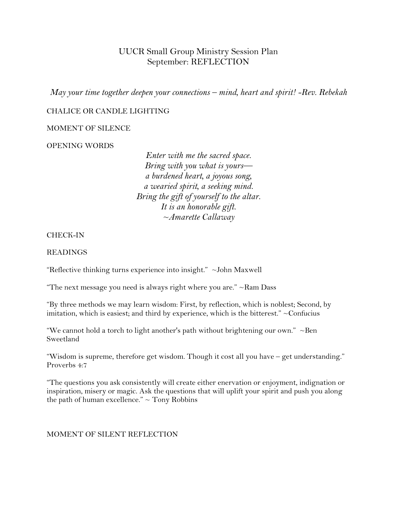# UUCR Small Group Ministry Session Plan September: REFLECTION

*May your time together deepen your connections – mind, heart and spirit! -Rev. Rebekah*

## CHALICE OR CANDLE LIGHTING

## MOMENT OF SILENCE

## OPENING WORDS

*Enter with me the sacred space. Bring with you what is yours a burdened heart, a joyous song, a wearied spirit, a seeking mind. Bring the gift of yourself to the altar. It is an honorable gift. ~Amarette Callaway*

#### CHECK-IN

#### READINGS

"Reflective thinking turns experience into insight." ~John Maxwell

"The next message you need is always right where you are."  $\sim$ Ram Dass

"By three methods we may learn wisdom: First, by reflection, which is noblest; Second, by imitation, which is easiest; and third by experience, which is the bitterest."  $\sim$  Confucius

"We cannot hold a torch to light another's path without brightening our own."  $\sim$ Ben Sweetland

"Wisdom is supreme, therefore get wisdom. Though it cost all you have – get understanding." Proverbs 4:7

"The questions you ask consistently will create either enervation or enjoyment, indignation or inspiration, misery or magic. Ask the questions that will uplift your spirit and push you along the path of human excellence."  $\sim$  Tony Robbins

## MOMENT OF SILENT REFLECTION